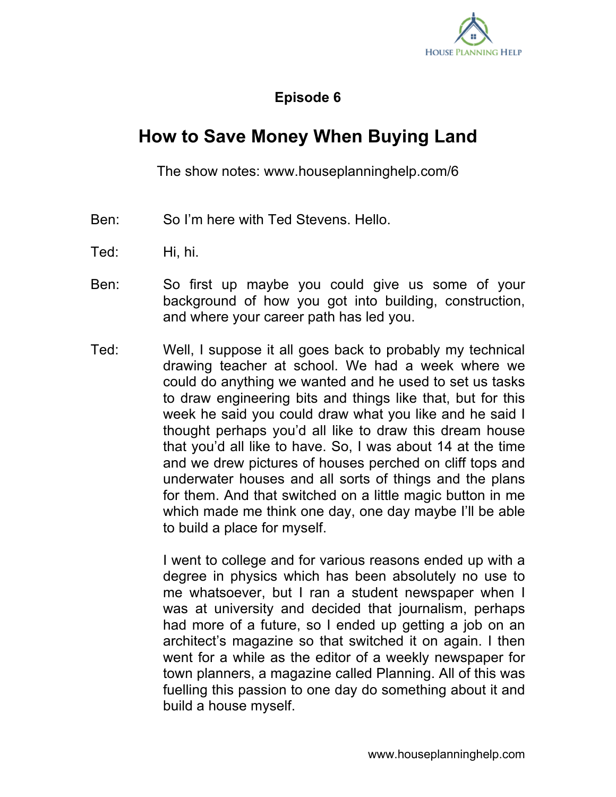

## **Episode 6**

## **How to Save Money When Buying Land**

The show notes: www.houseplanninghelp.com/6

- Ben: So I'm here with Ted Stevens. Hello.
- Ted: Hi, hi.
- Ben: So first up maybe you could give us some of your background of how you got into building, construction, and where your career path has led you.
- Ted: Well, I suppose it all goes back to probably my technical drawing teacher at school. We had a week where we could do anything we wanted and he used to set us tasks to draw engineering bits and things like that, but for this week he said you could draw what you like and he said I thought perhaps you'd all like to draw this dream house that you'd all like to have. So, I was about 14 at the time and we drew pictures of houses perched on cliff tops and underwater houses and all sorts of things and the plans for them. And that switched on a little magic button in me which made me think one day, one day maybe I'll be able to build a place for myself.

I went to college and for various reasons ended up with a degree in physics which has been absolutely no use to me whatsoever, but I ran a student newspaper when I was at university and decided that journalism, perhaps had more of a future, so I ended up getting a job on an architect's magazine so that switched it on again. I then went for a while as the editor of a weekly newspaper for town planners, a magazine called Planning. All of this was fuelling this passion to one day do something about it and build a house myself.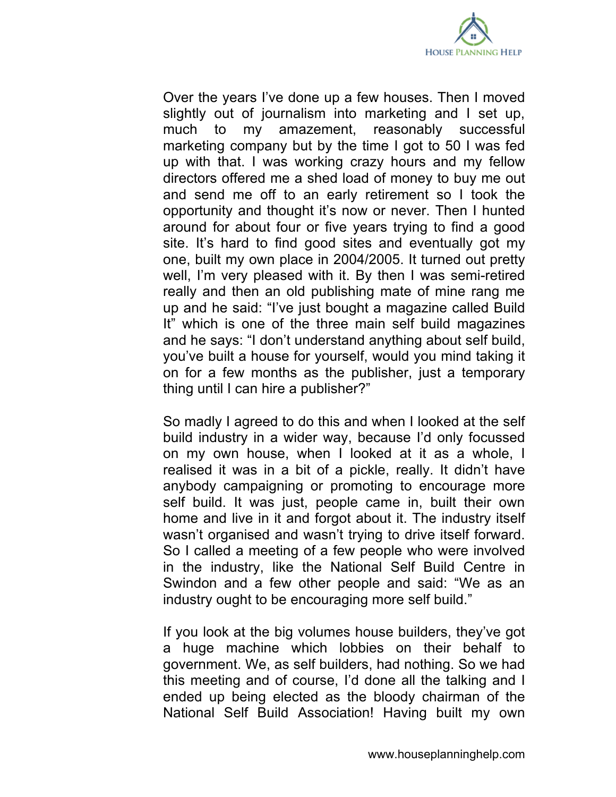

Over the years I've done up a few houses. Then I moved slightly out of journalism into marketing and I set up, much to my amazement, reasonably successful marketing company but by the time I got to 50 I was fed up with that. I was working crazy hours and my fellow directors offered me a shed load of money to buy me out and send me off to an early retirement so I took the opportunity and thought it's now or never. Then I hunted around for about four or five years trying to find a good site. It's hard to find good sites and eventually got my one, built my own place in 2004/2005. It turned out pretty well, I'm very pleased with it. By then I was semi-retired really and then an old publishing mate of mine rang me up and he said: "I've just bought a magazine called Build It" which is one of the three main self build magazines and he says: "I don't understand anything about self build, you've built a house for yourself, would you mind taking it on for a few months as the publisher, just a temporary thing until I can hire a publisher?"

So madly I agreed to do this and when I looked at the self build industry in a wider way, because I'd only focussed on my own house, when I looked at it as a whole, I realised it was in a bit of a pickle, really. It didn't have anybody campaigning or promoting to encourage more self build. It was just, people came in, built their own home and live in it and forgot about it. The industry itself wasn't organised and wasn't trying to drive itself forward. So I called a meeting of a few people who were involved in the industry, like the National Self Build Centre in Swindon and a few other people and said: "We as an industry ought to be encouraging more self build."

If you look at the big volumes house builders, they've got a huge machine which lobbies on their behalf to government. We, as self builders, had nothing. So we had this meeting and of course, I'd done all the talking and I ended up being elected as the bloody chairman of the National Self Build Association! Having built my own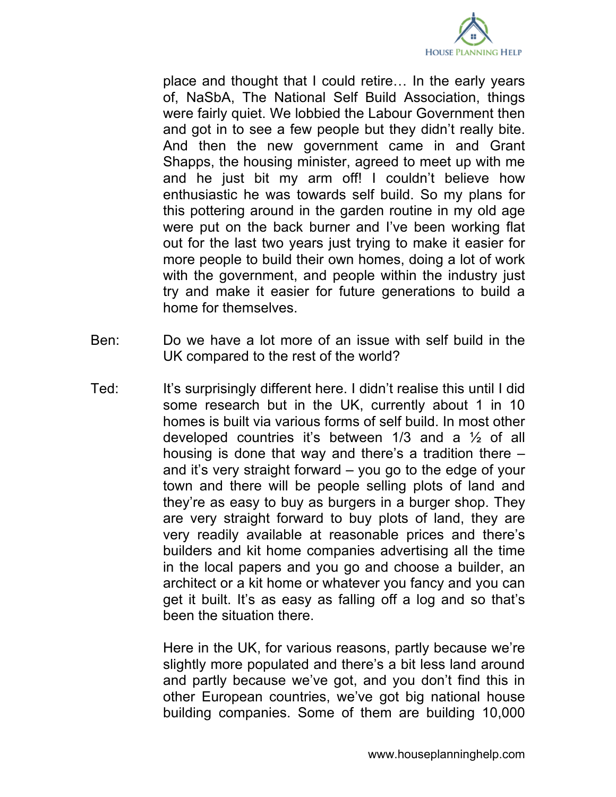

place and thought that I could retire… In the early years of, NaSbA, The National Self Build Association, things were fairly quiet. We lobbied the Labour Government then and got in to see a few people but they didn't really bite. And then the new government came in and Grant Shapps, the housing minister, agreed to meet up with me and he just bit my arm off! I couldn't believe how enthusiastic he was towards self build. So my plans for this pottering around in the garden routine in my old age were put on the back burner and I've been working flat out for the last two years just trying to make it easier for more people to build their own homes, doing a lot of work with the government, and people within the industry just try and make it easier for future generations to build a home for themselves.

- Ben: Do we have a lot more of an issue with self build in the UK compared to the rest of the world?
- Ted: It's surprisingly different here. I didn't realise this until I did some research but in the UK, currently about 1 in 10 homes is built via various forms of self build. In most other developed countries it's between 1/3 and a ½ of all housing is done that way and there's a tradition there – and it's very straight forward – you go to the edge of your town and there will be people selling plots of land and they're as easy to buy as burgers in a burger shop. They are very straight forward to buy plots of land, they are very readily available at reasonable prices and there's builders and kit home companies advertising all the time in the local papers and you go and choose a builder, an architect or a kit home or whatever you fancy and you can get it built. It's as easy as falling off a log and so that's been the situation there.

Here in the UK, for various reasons, partly because we're slightly more populated and there's a bit less land around and partly because we've got, and you don't find this in other European countries, we've got big national house building companies. Some of them are building 10,000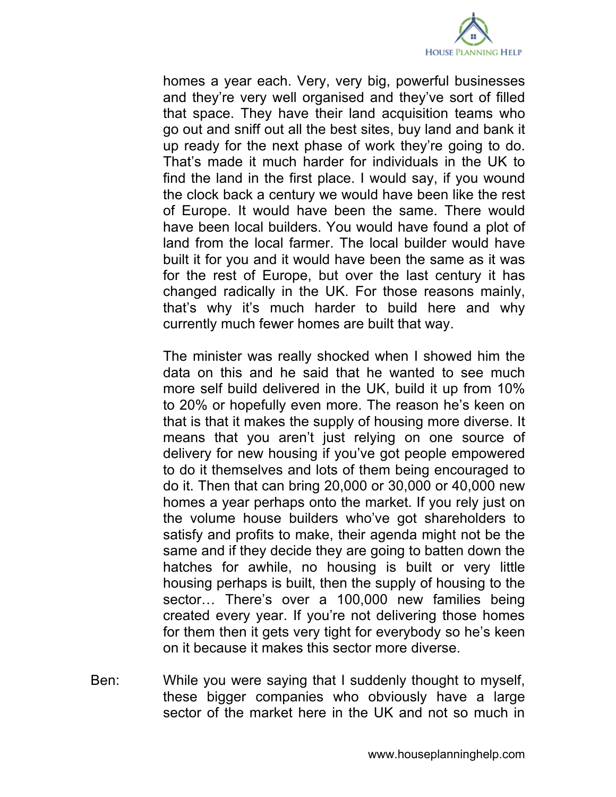

homes a year each. Very, very big, powerful businesses and they're very well organised and they've sort of filled that space. They have their land acquisition teams who go out and sniff out all the best sites, buy land and bank it up ready for the next phase of work they're going to do. That's made it much harder for individuals in the UK to find the land in the first place. I would say, if you wound the clock back a century we would have been like the rest of Europe. It would have been the same. There would have been local builders. You would have found a plot of land from the local farmer. The local builder would have built it for you and it would have been the same as it was for the rest of Europe, but over the last century it has changed radically in the UK. For those reasons mainly, that's why it's much harder to build here and why currently much fewer homes are built that way.

The minister was really shocked when I showed him the data on this and he said that he wanted to see much more self build delivered in the UK, build it up from 10% to 20% or hopefully even more. The reason he's keen on that is that it makes the supply of housing more diverse. It means that you aren't just relying on one source of delivery for new housing if you've got people empowered to do it themselves and lots of them being encouraged to do it. Then that can bring 20,000 or 30,000 or 40,000 new homes a year perhaps onto the market. If you rely just on the volume house builders who've got shareholders to satisfy and profits to make, their agenda might not be the same and if they decide they are going to batten down the hatches for awhile, no housing is built or very little housing perhaps is built, then the supply of housing to the sector… There's over a 100,000 new families being created every year. If you're not delivering those homes for them then it gets very tight for everybody so he's keen on it because it makes this sector more diverse.

Ben: While you were saying that I suddenly thought to myself, these bigger companies who obviously have a large sector of the market here in the UK and not so much in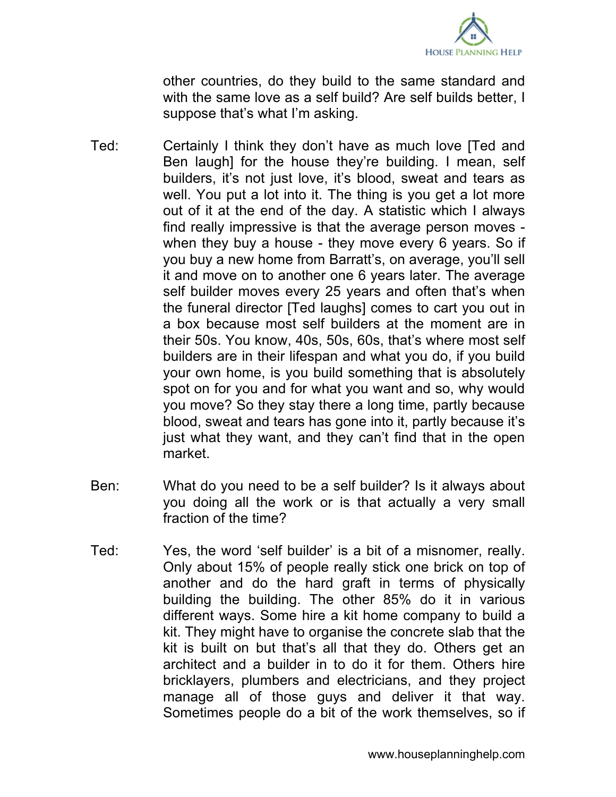

other countries, do they build to the same standard and with the same love as a self build? Are self builds better, I suppose that's what I'm asking.

- Ted: Certainly I think they don't have as much love [Ted and Ben laugh] for the house they're building. I mean, self builders, it's not just love, it's blood, sweat and tears as well. You put a lot into it. The thing is you get a lot more out of it at the end of the day. A statistic which I always find really impressive is that the average person moves when they buy a house - they move every 6 years. So if you buy a new home from Barratt's, on average, you'll sell it and move on to another one 6 years later. The average self builder moves every 25 years and often that's when the funeral director [Ted laughs] comes to cart you out in a box because most self builders at the moment are in their 50s. You know, 40s, 50s, 60s, that's where most self builders are in their lifespan and what you do, if you build your own home, is you build something that is absolutely spot on for you and for what you want and so, why would you move? So they stay there a long time, partly because blood, sweat and tears has gone into it, partly because it's just what they want, and they can't find that in the open market.
- Ben: What do you need to be a self builder? Is it always about you doing all the work or is that actually a very small fraction of the time?
- Ted: Yes, the word 'self builder' is a bit of a misnomer, really. Only about 15% of people really stick one brick on top of another and do the hard graft in terms of physically building the building. The other 85% do it in various different ways. Some hire a kit home company to build a kit. They might have to organise the concrete slab that the kit is built on but that's all that they do. Others get an architect and a builder in to do it for them. Others hire bricklayers, plumbers and electricians, and they project manage all of those guys and deliver it that way. Sometimes people do a bit of the work themselves, so if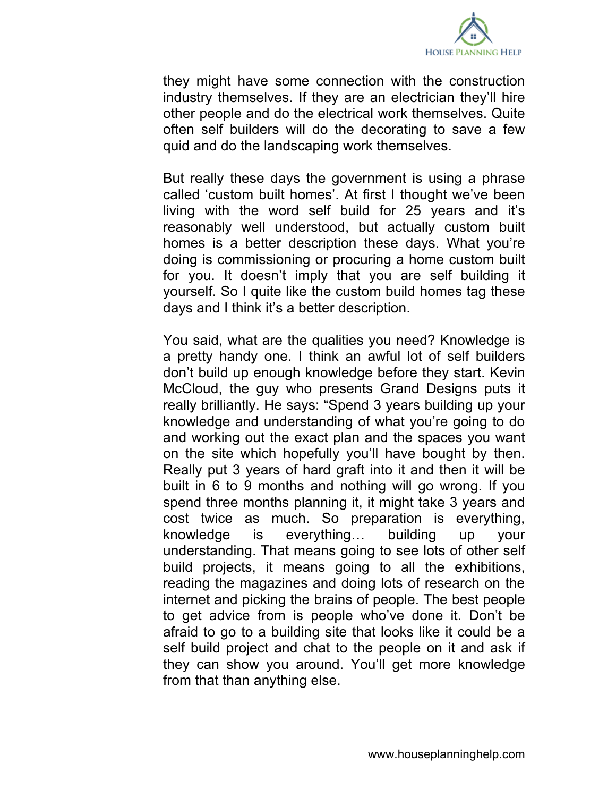

they might have some connection with the construction industry themselves. If they are an electrician they'll hire other people and do the electrical work themselves. Quite often self builders will do the decorating to save a few quid and do the landscaping work themselves.

But really these days the government is using a phrase called 'custom built homes'. At first I thought we've been living with the word self build for 25 years and it's reasonably well understood, but actually custom built homes is a better description these days. What you're doing is commissioning or procuring a home custom built for you. It doesn't imply that you are self building it yourself. So I quite like the custom build homes tag these days and I think it's a better description.

You said, what are the qualities you need? Knowledge is a pretty handy one. I think an awful lot of self builders don't build up enough knowledge before they start. Kevin McCloud, the guy who presents Grand Designs puts it really brilliantly. He says: "Spend 3 years building up your knowledge and understanding of what you're going to do and working out the exact plan and the spaces you want on the site which hopefully you'll have bought by then. Really put 3 years of hard graft into it and then it will be built in 6 to 9 months and nothing will go wrong. If you spend three months planning it, it might take 3 years and cost twice as much. So preparation is everything, knowledge is everything… building up your understanding. That means going to see lots of other self build projects, it means going to all the exhibitions, reading the magazines and doing lots of research on the internet and picking the brains of people. The best people to get advice from is people who've done it. Don't be afraid to go to a building site that looks like it could be a self build project and chat to the people on it and ask if they can show you around. You'll get more knowledge from that than anything else.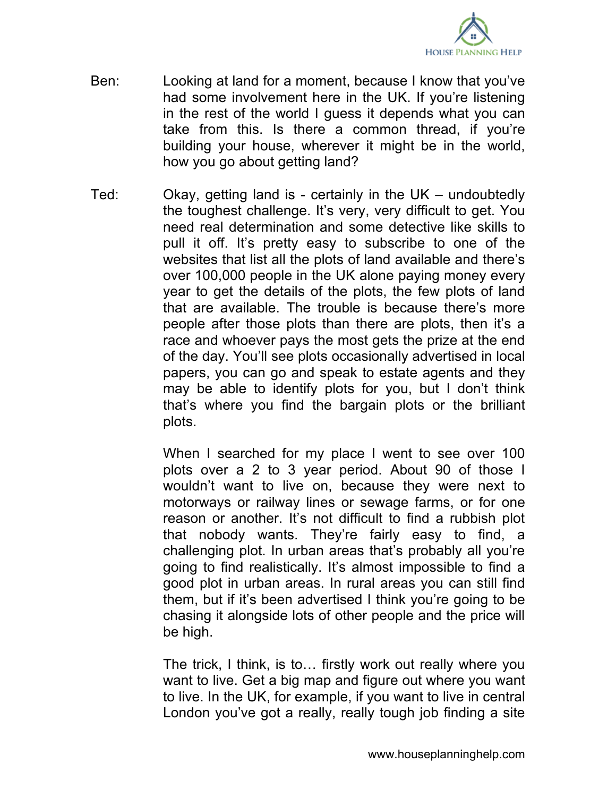

- Ben: Looking at land for a moment, because I know that you've had some involvement here in the UK. If you're listening in the rest of the world I guess it depends what you can take from this. Is there a common thread, if you're building your house, wherever it might be in the world, how you go about getting land?
- Ted: Okay, getting land is certainly in the UK undoubtedly the toughest challenge. It's very, very difficult to get. You need real determination and some detective like skills to pull it off. It's pretty easy to subscribe to one of the websites that list all the plots of land available and there's over 100,000 people in the UK alone paying money every year to get the details of the plots, the few plots of land that are available. The trouble is because there's more people after those plots than there are plots, then it's a race and whoever pays the most gets the prize at the end of the day. You'll see plots occasionally advertised in local papers, you can go and speak to estate agents and they may be able to identify plots for you, but I don't think that's where you find the bargain plots or the brilliant plots.

When I searched for my place I went to see over 100 plots over a 2 to 3 year period. About 90 of those I wouldn't want to live on, because they were next to motorways or railway lines or sewage farms, or for one reason or another. It's not difficult to find a rubbish plot that nobody wants. They're fairly easy to find, a challenging plot. In urban areas that's probably all you're going to find realistically. It's almost impossible to find a good plot in urban areas. In rural areas you can still find them, but if it's been advertised I think you're going to be chasing it alongside lots of other people and the price will be high.

The trick, I think, is to… firstly work out really where you want to live. Get a big map and figure out where you want to live. In the UK, for example, if you want to live in central London you've got a really, really tough job finding a site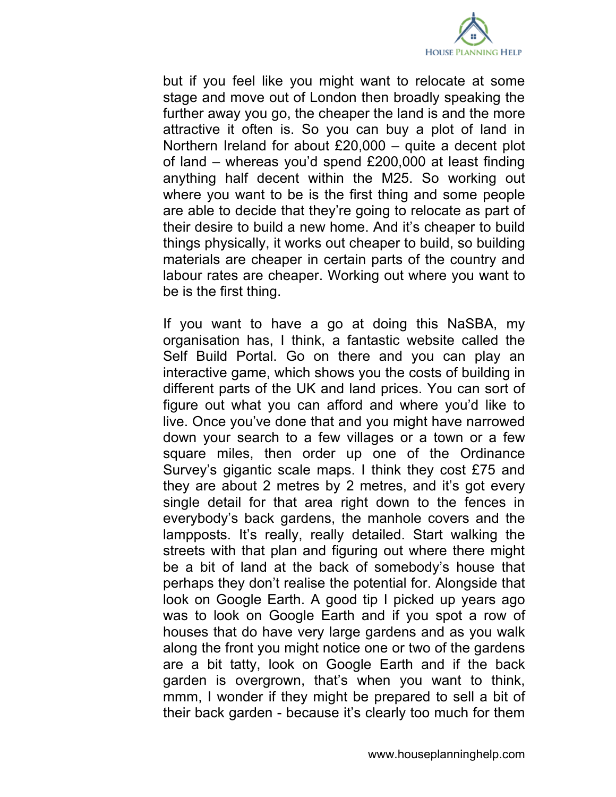

but if you feel like you might want to relocate at some stage and move out of London then broadly speaking the further away you go, the cheaper the land is and the more attractive it often is. So you can buy a plot of land in Northern Ireland for about £20,000 – quite a decent plot of land – whereas you'd spend £200,000 at least finding anything half decent within the M25. So working out where you want to be is the first thing and some people are able to decide that they're going to relocate as part of their desire to build a new home. And it's cheaper to build things physically, it works out cheaper to build, so building materials are cheaper in certain parts of the country and labour rates are cheaper. Working out where you want to be is the first thing.

If you want to have a go at doing this NaSBA, my organisation has, I think, a fantastic website called the Self Build Portal. Go on there and you can play an interactive game, which shows you the costs of building in different parts of the UK and land prices. You can sort of figure out what you can afford and where you'd like to live. Once you've done that and you might have narrowed down your search to a few villages or a town or a few square miles, then order up one of the Ordinance Survey's gigantic scale maps. I think they cost £75 and they are about 2 metres by 2 metres, and it's got every single detail for that area right down to the fences in everybody's back gardens, the manhole covers and the lampposts. It's really, really detailed. Start walking the streets with that plan and figuring out where there might be a bit of land at the back of somebody's house that perhaps they don't realise the potential for. Alongside that look on Google Earth. A good tip I picked up years ago was to look on Google Earth and if you spot a row of houses that do have very large gardens and as you walk along the front you might notice one or two of the gardens are a bit tatty, look on Google Earth and if the back garden is overgrown, that's when you want to think, mmm, I wonder if they might be prepared to sell a bit of their back garden - because it's clearly too much for them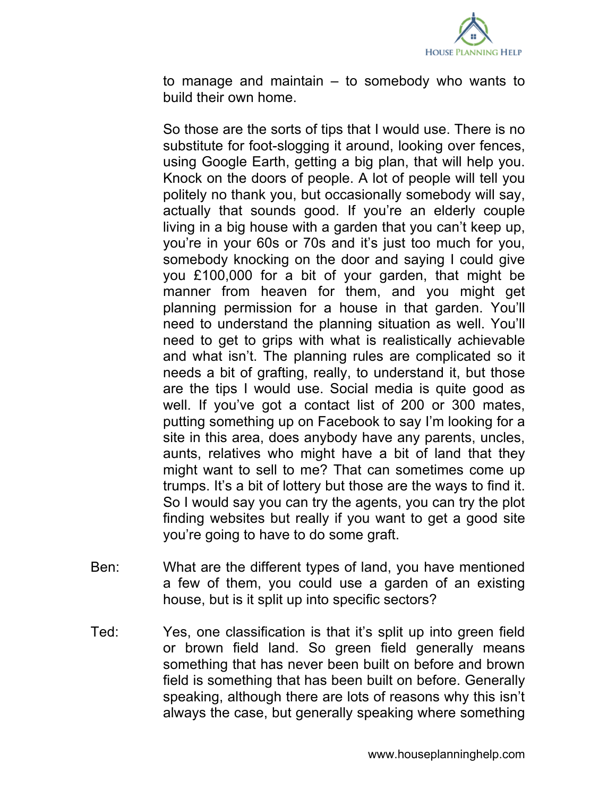

to manage and maintain – to somebody who wants to build their own home.

So those are the sorts of tips that I would use. There is no substitute for foot-slogging it around, looking over fences, using Google Earth, getting a big plan, that will help you. Knock on the doors of people. A lot of people will tell you politely no thank you, but occasionally somebody will say, actually that sounds good. If you're an elderly couple living in a big house with a garden that you can't keep up, you're in your 60s or 70s and it's just too much for you, somebody knocking on the door and saying I could give you £100,000 for a bit of your garden, that might be manner from heaven for them, and you might get planning permission for a house in that garden. You'll need to understand the planning situation as well. You'll need to get to grips with what is realistically achievable and what isn't. The planning rules are complicated so it needs a bit of grafting, really, to understand it, but those are the tips I would use. Social media is quite good as well. If you've got a contact list of 200 or 300 mates, putting something up on Facebook to say I'm looking for a site in this area, does anybody have any parents, uncles, aunts, relatives who might have a bit of land that they might want to sell to me? That can sometimes come up trumps. It's a bit of lottery but those are the ways to find it. So I would say you can try the agents, you can try the plot finding websites but really if you want to get a good site you're going to have to do some graft.

- Ben: What are the different types of land, you have mentioned a few of them, you could use a garden of an existing house, but is it split up into specific sectors?
- Ted: Yes, one classification is that it's split up into green field or brown field land. So green field generally means something that has never been built on before and brown field is something that has been built on before. Generally speaking, although there are lots of reasons why this isn't always the case, but generally speaking where something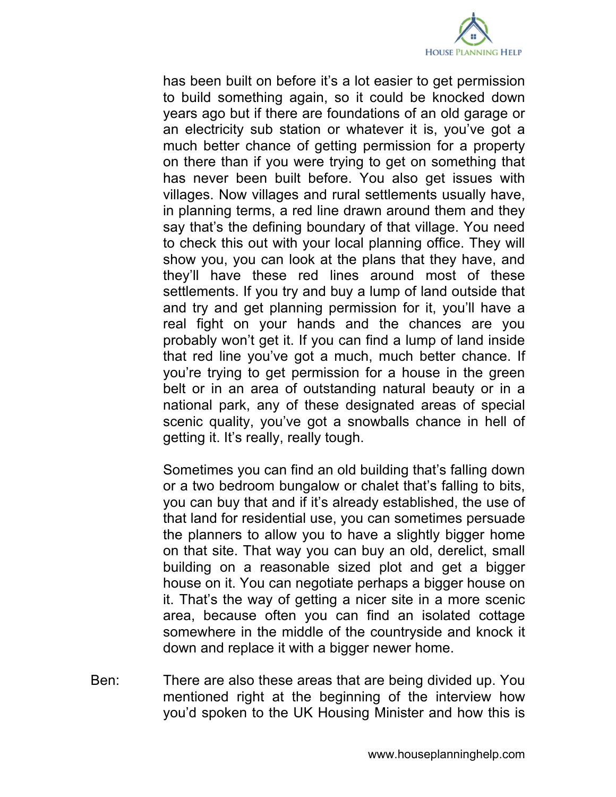

has been built on before it's a lot easier to get permission to build something again, so it could be knocked down years ago but if there are foundations of an old garage or an electricity sub station or whatever it is, you've got a much better chance of getting permission for a property on there than if you were trying to get on something that has never been built before. You also get issues with villages. Now villages and rural settlements usually have, in planning terms, a red line drawn around them and they say that's the defining boundary of that village. You need to check this out with your local planning office. They will show you, you can look at the plans that they have, and they'll have these red lines around most of these settlements. If you try and buy a lump of land outside that and try and get planning permission for it, you'll have a real fight on your hands and the chances are you probably won't get it. If you can find a lump of land inside that red line you've got a much, much better chance. If you're trying to get permission for a house in the green belt or in an area of outstanding natural beauty or in a national park, any of these designated areas of special scenic quality, you've got a snowballs chance in hell of getting it. It's really, really tough.

Sometimes you can find an old building that's falling down or a two bedroom bungalow or chalet that's falling to bits, you can buy that and if it's already established, the use of that land for residential use, you can sometimes persuade the planners to allow you to have a slightly bigger home on that site. That way you can buy an old, derelict, small building on a reasonable sized plot and get a bigger house on it. You can negotiate perhaps a bigger house on it. That's the way of getting a nicer site in a more scenic area, because often you can find an isolated cottage somewhere in the middle of the countryside and knock it down and replace it with a bigger newer home.

Ben: There are also these areas that are being divided up. You mentioned right at the beginning of the interview how you'd spoken to the UK Housing Minister and how this is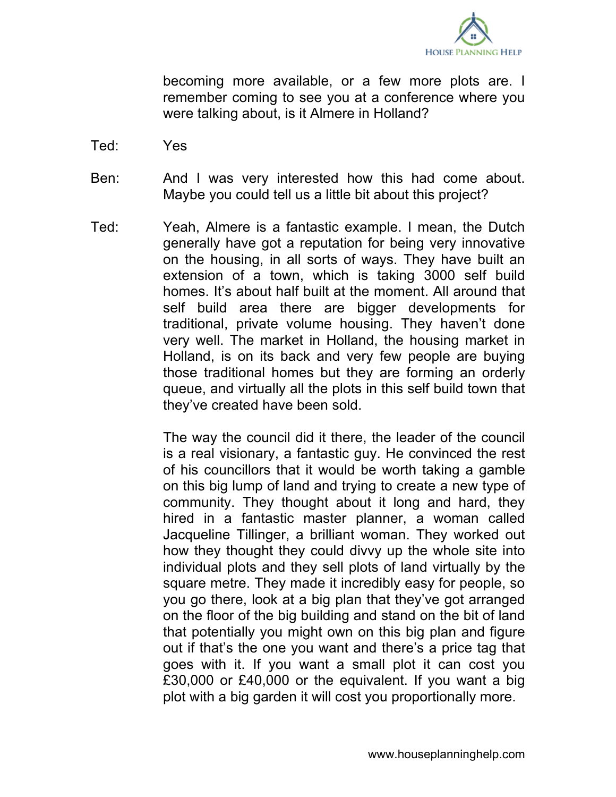

becoming more available, or a few more plots are. I remember coming to see you at a conference where you were talking about, is it Almere in Holland?

- Ted: Yes
- Ben: And I was very interested how this had come about. Maybe you could tell us a little bit about this project?
- Ted: Yeah, Almere is a fantastic example. I mean, the Dutch generally have got a reputation for being very innovative on the housing, in all sorts of ways. They have built an extension of a town, which is taking 3000 self build homes. It's about half built at the moment. All around that self build area there are bigger developments for traditional, private volume housing. They haven't done very well. The market in Holland, the housing market in Holland, is on its back and very few people are buying those traditional homes but they are forming an orderly queue, and virtually all the plots in this self build town that they've created have been sold.

The way the council did it there, the leader of the council is a real visionary, a fantastic guy. He convinced the rest of his councillors that it would be worth taking a gamble on this big lump of land and trying to create a new type of community. They thought about it long and hard, they hired in a fantastic master planner, a woman called Jacqueline Tillinger, a brilliant woman. They worked out how they thought they could divvy up the whole site into individual plots and they sell plots of land virtually by the square metre. They made it incredibly easy for people, so you go there, look at a big plan that they've got arranged on the floor of the big building and stand on the bit of land that potentially you might own on this big plan and figure out if that's the one you want and there's a price tag that goes with it. If you want a small plot it can cost you £30,000 or £40,000 or the equivalent. If you want a big plot with a big garden it will cost you proportionally more.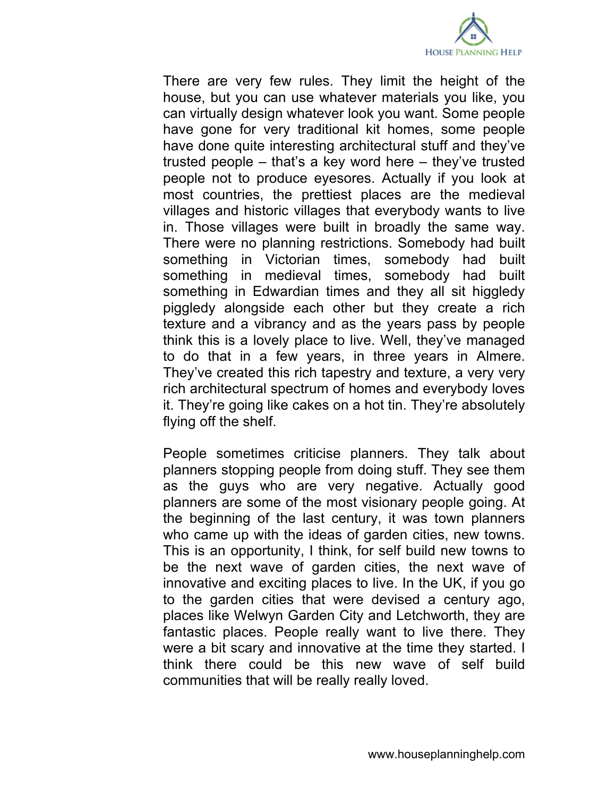

There are very few rules. They limit the height of the house, but you can use whatever materials you like, you can virtually design whatever look you want. Some people have gone for very traditional kit homes, some people have done quite interesting architectural stuff and they've trusted people – that's a key word here – they've trusted people not to produce eyesores. Actually if you look at most countries, the prettiest places are the medieval villages and historic villages that everybody wants to live in. Those villages were built in broadly the same way. There were no planning restrictions. Somebody had built something in Victorian times, somebody had built something in medieval times, somebody had built something in Edwardian times and they all sit higgledy piggledy alongside each other but they create a rich texture and a vibrancy and as the years pass by people think this is a lovely place to live. Well, they've managed to do that in a few years, in three years in Almere. They've created this rich tapestry and texture, a very very rich architectural spectrum of homes and everybody loves it. They're going like cakes on a hot tin. They're absolutely flying off the shelf.

People sometimes criticise planners. They talk about planners stopping people from doing stuff. They see them as the guys who are very negative. Actually good planners are some of the most visionary people going. At the beginning of the last century, it was town planners who came up with the ideas of garden cities, new towns. This is an opportunity, I think, for self build new towns to be the next wave of garden cities, the next wave of innovative and exciting places to live. In the UK, if you go to the garden cities that were devised a century ago, places like Welwyn Garden City and Letchworth, they are fantastic places. People really want to live there. They were a bit scary and innovative at the time they started. I think there could be this new wave of self build communities that will be really really loved.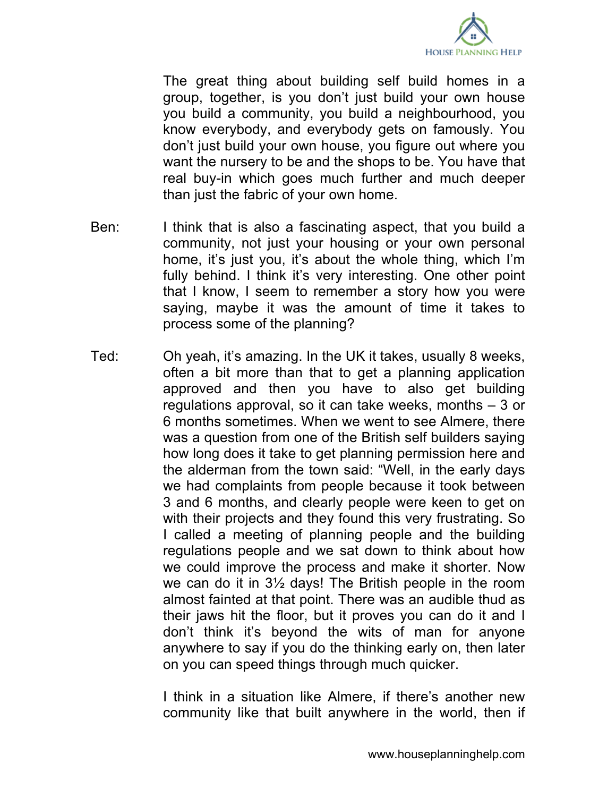

The great thing about building self build homes in a group, together, is you don't just build your own house you build a community, you build a neighbourhood, you know everybody, and everybody gets on famously. You don't just build your own house, you figure out where you want the nursery to be and the shops to be. You have that real buy-in which goes much further and much deeper than just the fabric of your own home.

- Ben: I think that is also a fascinating aspect, that you build a community, not just your housing or your own personal home, it's just you, it's about the whole thing, which I'm fully behind. I think it's very interesting. One other point that I know, I seem to remember a story how you were saying, maybe it was the amount of time it takes to process some of the planning?
- Ted: Oh yeah, it's amazing. In the UK it takes, usually 8 weeks, often a bit more than that to get a planning application approved and then you have to also get building regulations approval, so it can take weeks, months – 3 or 6 months sometimes. When we went to see Almere, there was a question from one of the British self builders saying how long does it take to get planning permission here and the alderman from the town said: "Well, in the early days we had complaints from people because it took between 3 and 6 months, and clearly people were keen to get on with their projects and they found this very frustrating. So I called a meeting of planning people and the building regulations people and we sat down to think about how we could improve the process and make it shorter. Now we can do it in 3½ days! The British people in the room almost fainted at that point. There was an audible thud as their jaws hit the floor, but it proves you can do it and I don't think it's beyond the wits of man for anyone anywhere to say if you do the thinking early on, then later on you can speed things through much quicker.

I think in a situation like Almere, if there's another new community like that built anywhere in the world, then if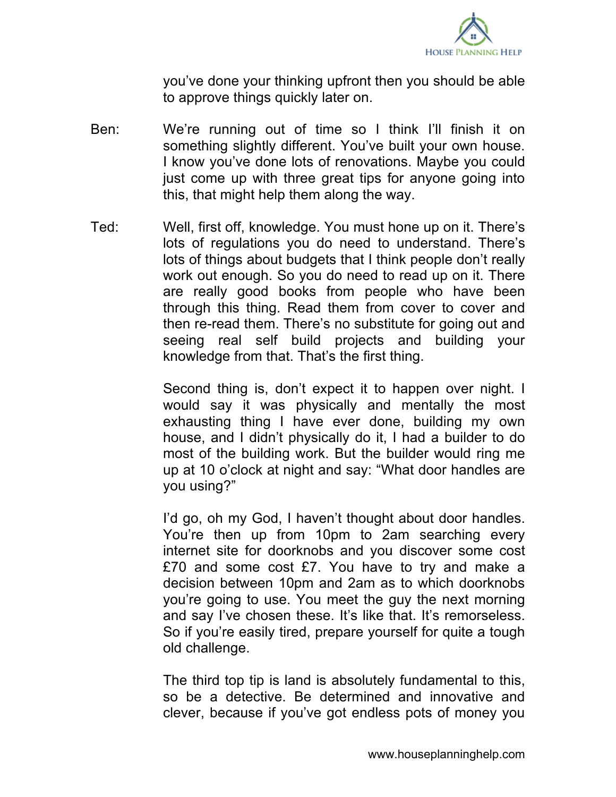

you've done your thinking upfront then you should be able to approve things quickly later on.

- Ben: We're running out of time so I think I'll finish it on something slightly different. You've built your own house. I know you've done lots of renovations. Maybe you could just come up with three great tips for anyone going into this, that might help them along the way.
- Ted: Well, first off, knowledge. You must hone up on it. There's lots of regulations you do need to understand. There's lots of things about budgets that I think people don't really work out enough. So you do need to read up on it. There are really good books from people who have been through this thing. Read them from cover to cover and then re-read them. There's no substitute for going out and seeing real self build projects and building your knowledge from that. That's the first thing.

Second thing is, don't expect it to happen over night. I would say it was physically and mentally the most exhausting thing I have ever done, building my own house, and I didn't physically do it, I had a builder to do most of the building work. But the builder would ring me up at 10 o'clock at night and say: "What door handles are you using?"

I'd go, oh my God, I haven't thought about door handles. You're then up from 10pm to 2am searching every internet site for doorknobs and you discover some cost £70 and some cost £7. You have to try and make a decision between 10pm and 2am as to which doorknobs you're going to use. You meet the guy the next morning and say I've chosen these. It's like that. It's remorseless. So if you're easily tired, prepare yourself for quite a tough old challenge.

The third top tip is land is absolutely fundamental to this, so be a detective. Be determined and innovative and clever, because if you've got endless pots of money you